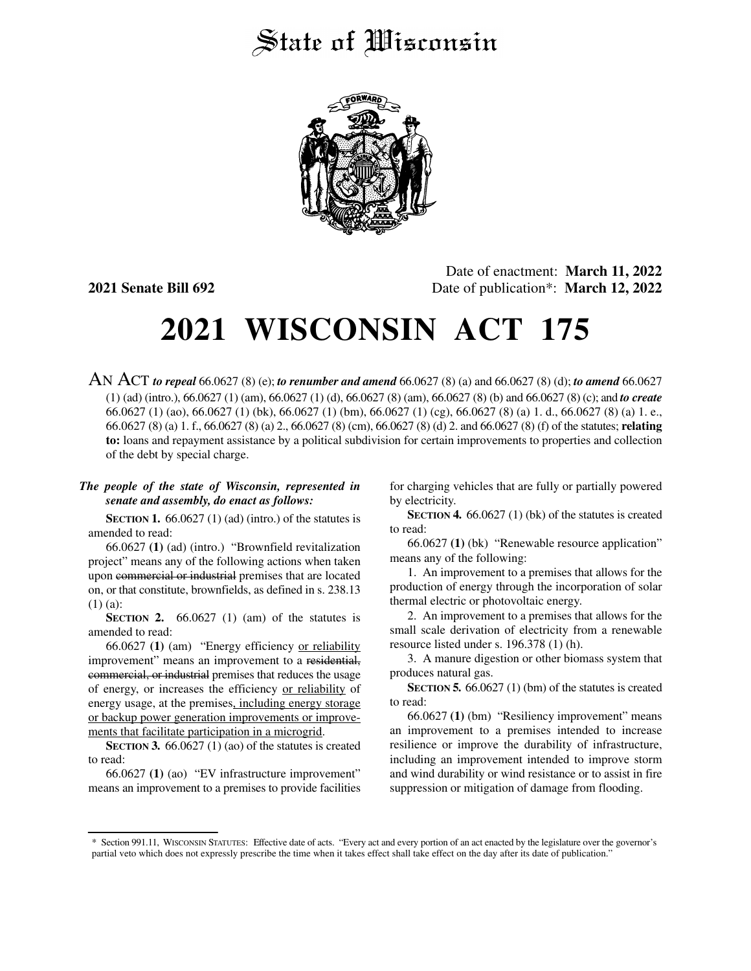# State of *Wisconsin*



Date of enactment: **March 11, 2022 2021 Senate Bill 692** Date of publication\*: **March 12, 2022**

# **2021 WISCONSIN ACT 175**

AN ACT *to repeal* 66.0627 (8) (e); *to renumber and amend* 66.0627 (8) (a) and 66.0627 (8) (d); *to amend* 66.0627 (1) (ad) (intro.), 66.0627 (1) (am), 66.0627 (1) (d), 66.0627 (8) (am), 66.0627 (8) (b) and 66.0627 (8) (c); and *to create* 66.0627 (1) (ao), 66.0627 (1) (bk), 66.0627 (1) (bm), 66.0627 (1) (cg), 66.0627 (8) (a) 1. d., 66.0627 (8) (a) 1. e., 66.0627 (8) (a) 1. f., 66.0627 (8) (a) 2., 66.0627 (8) (cm), 66.0627 (8) (d) 2. and 66.0627 (8) (f) of the statutes; **relating to:** loans and repayment assistance by a political subdivision for certain improvements to properties and collection of the debt by special charge.

#### *The people of the state of Wisconsin, represented in senate and assembly, do enact as follows:*

**SECTION 1.** 66.0627 (1) (ad) (intro.) of the statutes is amended to read:

66.0627 **(1)** (ad) (intro.) "Brownfield revitalization project" means any of the following actions when taken upon commercial or industrial premises that are located on, or that constitute, brownfields, as defined in s. 238.13 (1) (a):

**SECTION 2.** 66.0627 (1) (am) of the statutes is amended to read:

66.0627 **(1)** (am) "Energy efficiency or reliability improvement" means an improvement to a residential, commercial, or industrial premises that reduces the usage of energy, or increases the efficiency or reliability of energy usage, at the premises, including energy storage or backup power generation improvements or improvements that facilitate participation in a microgrid.

**SECTION 3.** 66.0627 (1) (ao) of the statutes is created to read:

66.0627 **(1)** (ao) "EV infrastructure improvement" means an improvement to a premises to provide facilities for charging vehicles that are fully or partially powered by electricity.

**SECTION 4.** 66.0627 (1) (bk) of the statutes is created to read:

66.0627 **(1)** (bk) "Renewable resource application" means any of the following:

1. An improvement to a premises that allows for the production of energy through the incorporation of solar thermal electric or photovoltaic energy.

2. An improvement to a premises that allows for the small scale derivation of electricity from a renewable resource listed under s. 196.378 (1) (h).

3. A manure digestion or other biomass system that produces natural gas.

**SECTION 5.** 66.0627 (1) (bm) of the statutes is created to read:

66.0627 **(1)** (bm) "Resiliency improvement" means an improvement to a premises intended to increase resilience or improve the durability of infrastructure, including an improvement intended to improve storm and wind durability or wind resistance or to assist in fire suppression or mitigation of damage from flooding.

<sup>\*</sup> Section 991.11, WISCONSIN STATUTES: Effective date of acts. "Every act and every portion of an act enacted by the legislature over the governor's partial veto which does not expressly prescribe the time when it takes effect shall take effect on the day after its date of publication."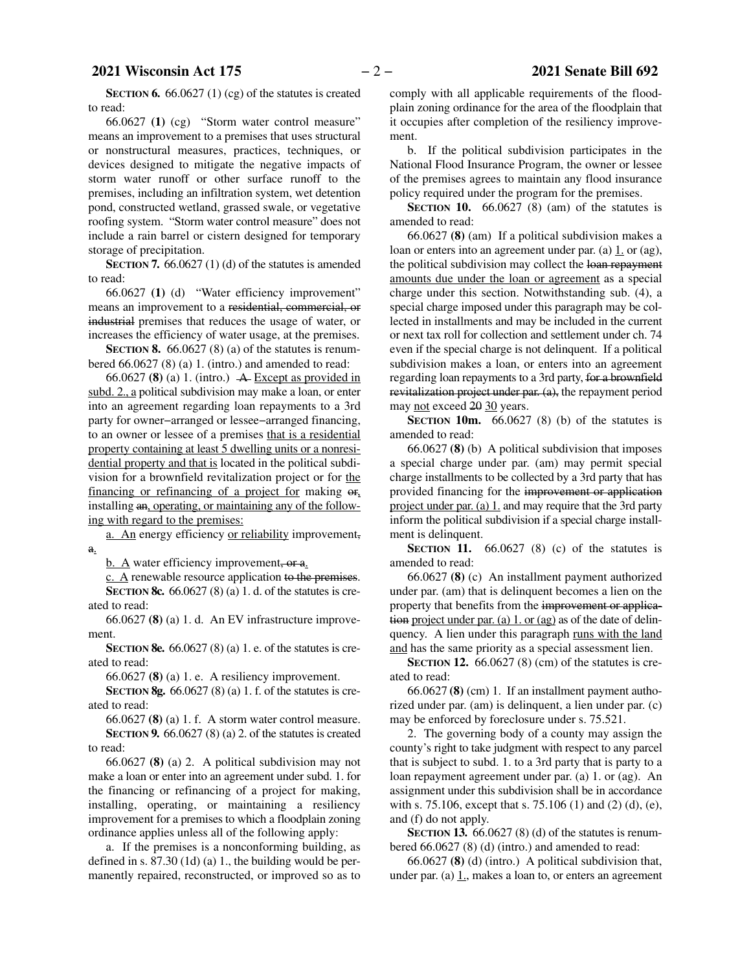### **2021 Wisconsin Act 175** − 2 − **2021 Senate Bill 692**

**SECTION 6.** 66.0627 (1) (cg) of the statutes is created to read:

66.0627 **(1)** (cg) "Storm water control measure" means an improvement to a premises that uses structural or nonstructural measures, practices, techniques, or devices designed to mitigate the negative impacts of storm water runoff or other surface runoff to the premises, including an infiltration system, wet detention pond, constructed wetland, grassed swale, or vegetative roofing system. "Storm water control measure" does not include a rain barrel or cistern designed for temporary storage of precipitation.

**SECTION 7.** 66.0627 (1) (d) of the statutes is amended to read:

66.0627 **(1)** (d) "Water efficiency improvement" means an improvement to a residential, commercial, or industrial premises that reduces the usage of water, or increases the efficiency of water usage, at the premises.

**SECTION 8.** 66.0627 (8) (a) of the statutes is renumbered  $66.0627(8)$  (a) 1. (intro.) and amended to read:

66.0627 **(8)** (a) 1. (intro.)  $\rightarrow$  Except as provided in subd. 2., a political subdivision may make a loan, or enter into an agreement regarding loan repayments to a 3rd party for owner−arranged or lessee−arranged financing, to an owner or lessee of a premises that is a residential property containing at least 5 dwelling units or a nonresidential property and that is located in the political subdivision for a brownfield revitalization project or for the financing or refinancing of a project for making  $\Theta$ <sub>1</sub>, installing an, operating, or maintaining any of the following with regard to the premises:

a. An energy efficiency or reliability improvement, a.

b. A water efficiency improvement, or a.

 $c. A$  renewable resource application to the premises.

**SECTION 8c.** 66.0627 (8) (a) 1. d. of the statutes is created to read:

66.0627 **(8)** (a) 1. d. An EV infrastructure improvement.

**SECTION 8e.** 66.0627 (8) (a) 1. e. of the statutes is created to read:

66.0627 **(8)** (a) 1. e. A resiliency improvement.

**SECTION 8g.** 66.0627 (8) (a) 1. f. of the statutes is created to read:

66.0627 **(8)** (a) 1. f. A storm water control measure. **SECTION 9.** 66.0627 (8) (a) 2. of the statutes is created to read:

66.0627 **(8)** (a) 2. A political subdivision may not make a loan or enter into an agreement under subd. 1. for the financing or refinancing of a project for making, installing, operating, or maintaining a resiliency improvement for a premises to which a floodplain zoning ordinance applies unless all of the following apply:

a. If the premises is a nonconforming building, as defined in s. 87.30 (1d) (a) 1., the building would be permanently repaired, reconstructed, or improved so as to

comply with all applicable requirements of the floodplain zoning ordinance for the area of the floodplain that it occupies after completion of the resiliency improvement.

b. If the political subdivision participates in the National Flood Insurance Program, the owner or lessee of the premises agrees to maintain any flood insurance policy required under the program for the premises.

**SECTION 10.** 66.0627 (8) (am) of the statutes is amended to read:

66.0627 **(8)** (am) If a political subdivision makes a loan or enters into an agreement under par. (a)  $1$  or (ag), the political subdivision may collect the loan repayment amounts due under the loan or agreement as a special charge under this section. Notwithstanding sub. (4), a special charge imposed under this paragraph may be collected in installments and may be included in the current or next tax roll for collection and settlement under ch. 74 even if the special charge is not delinquent. If a political subdivision makes a loan, or enters into an agreement regarding loan repayments to a 3rd party, for a brownfield revitalization project under par. (a), the repayment period may not exceed 20 30 years.

**SECTION** 10m.  $66.0627$  (8) (b) of the statutes is amended to read:

66.0627 **(8)** (b) A political subdivision that imposes a special charge under par. (am) may permit special charge installments to be collected by a 3rd party that has provided financing for the improvement or application project under par. (a) 1. and may require that the 3rd party inform the political subdivision if a special charge installment is delinquent.

**SECTION 11.** 66.0627 (8) (c) of the statutes is amended to read:

66.0627 **(8)** (c) An installment payment authorized under par. (am) that is delinquent becomes a lien on the property that benefits from the improvement or application project under par. (a) 1. or (ag) as of the date of delinquency. A lien under this paragraph runs with the land and has the same priority as a special assessment lien.

**SECTION 12.** 66.0627 (8) (cm) of the statutes is created to read:

66.0627 **(8)** (cm) 1. If an installment payment authorized under par. (am) is delinquent, a lien under par. (c) may be enforced by foreclosure under s. 75.521.

2. The governing body of a county may assign the county's right to take judgment with respect to any parcel that is subject to subd. 1. to a 3rd party that is party to a loan repayment agreement under par. (a) 1. or (ag). An assignment under this subdivision shall be in accordance with s. 75.106, except that s. 75.106 (1) and (2) (d), (e), and (f) do not apply.

**SECTION 13.** 66.0627 (8) (d) of the statutes is renumbered 66.0627 (8) (d) (intro.) and amended to read:

66.0627 **(8)** (d) (intro.) A political subdivision that, under par. (a)  $1$ , makes a loan to, or enters an agreement